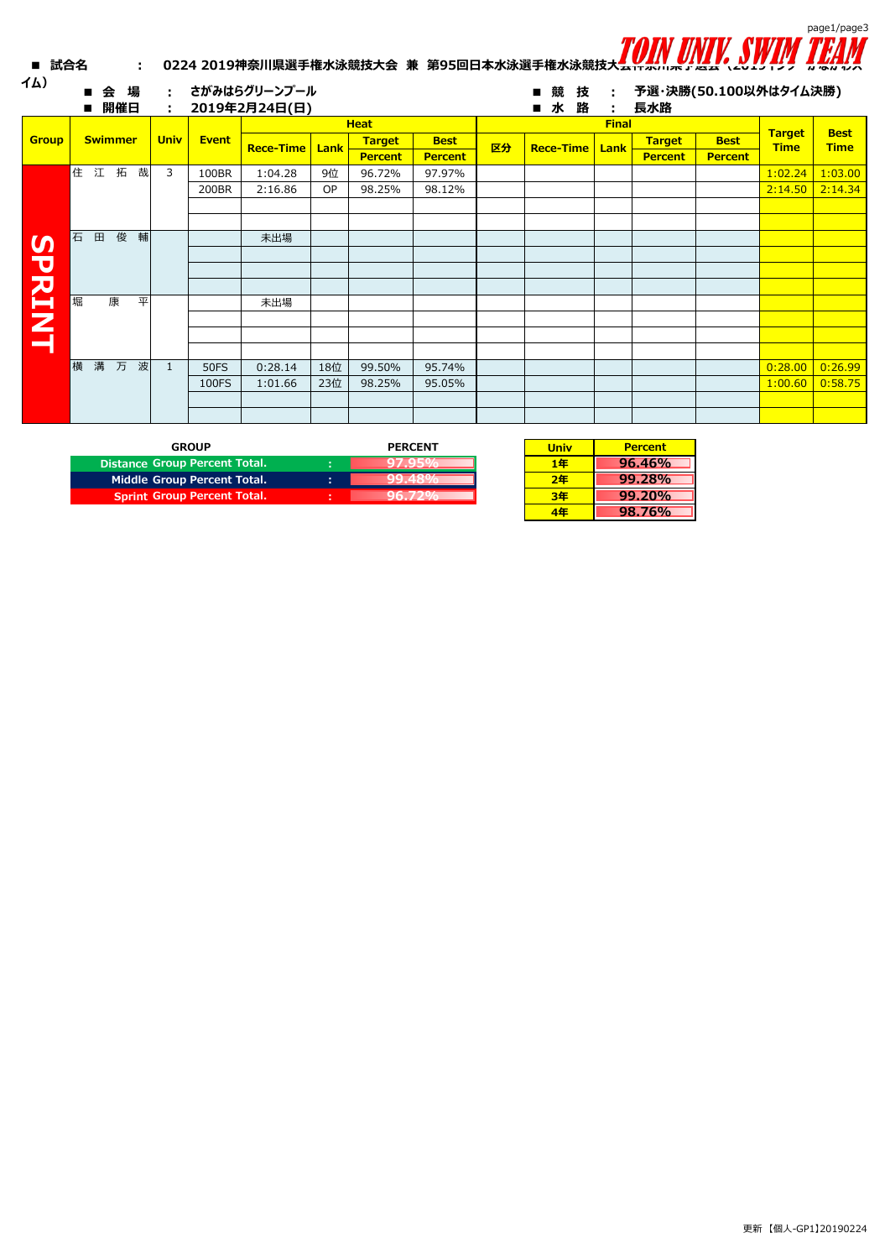

| ■ 試合名         |   |              |                | ÷. |             |              |                               |      |                |                |    | 0224 2019神奈川県選手権水泳競技大会 兼 第95回日本水泳選手権水泳競技大 <del>ムエスパスパックセム</del> \2013127 かなかわ人 |              |                              |                |               |             |
|---------------|---|--------------|----------------|----|-------------|--------------|-------------------------------|------|----------------|----------------|----|--------------------------------------------------------------------------------|--------------|------------------------------|----------------|---------------|-------------|
| イム)           |   | 会            | 場<br>開催日       |    | ÷.<br>÷     |              | さがみはらグリーンプール<br>2019年2月24日(日) |      |                |                |    | 技<br>競<br>水<br>路                                                               | ÷<br>÷       | 予選・決勝(50.100以外はタイム決勝)<br>長水路 |                |               |             |
|               |   |              |                |    |             |              |                               |      | <b>Heat</b>    |                |    |                                                                                | <b>Final</b> |                              |                | <b>Target</b> | <b>Best</b> |
| <b>Group</b>  |   |              | <b>Swimmer</b> |    | <b>Univ</b> | <b>Event</b> | <b>Rece-Time</b>              | Lank | <b>Target</b>  | <b>Best</b>    | 区分 | <b>Rece-Time</b>                                                               | Lank         | <b>Target</b>                | <b>Best</b>    | <b>Time</b>   | <b>Time</b> |
|               |   |              |                |    |             |              |                               |      | <b>Percent</b> | <b>Percent</b> |    |                                                                                |              | <b>Percent</b>               | <b>Percent</b> |               |             |
|               |   |              | 住江拓            | 哉  | 3           | 100BR        | 1:04.28                       | 9位   | 96.72%         | 97.97%         |    |                                                                                |              |                              |                | 1:02.24       | 1:03.00     |
|               |   |              |                |    |             | 200BR        | 2:16.86                       | OP   | 98.25%         | 98.12%         |    |                                                                                |              |                              |                | 2:14.50       | 2:14.34     |
|               |   |              |                |    |             |              |                               |      |                |                |    |                                                                                |              |                              |                |               |             |
|               |   |              |                |    |             |              |                               |      |                |                |    |                                                                                |              |                              |                |               |             |
|               | 石 | $\mathbf{H}$ | 俊              | 輔  |             |              | 未出場                           |      |                |                |    |                                                                                |              |                              |                |               |             |
|               |   |              |                |    |             |              |                               |      |                |                |    |                                                                                |              |                              |                |               |             |
|               |   |              |                |    |             |              |                               |      |                |                |    |                                                                                |              |                              |                |               |             |
| <b>SPRINT</b> |   |              |                |    |             |              |                               |      |                |                |    |                                                                                |              |                              |                |               |             |
|               | 堀 |              | 康              | 平  |             |              | 未出場                           |      |                |                |    |                                                                                |              |                              |                |               |             |
|               |   |              |                |    |             |              |                               |      |                |                |    |                                                                                |              |                              |                |               |             |
|               |   |              |                |    |             |              |                               |      |                |                |    |                                                                                |              |                              |                |               |             |
|               |   |              |                |    |             |              |                               |      |                |                |    |                                                                                |              |                              |                |               |             |
|               | 槠 |              | 溝 万            | 波  | 1           | <b>50FS</b>  | 0:28.14                       | 18位  | 99.50%         | 95.74%         |    |                                                                                |              |                              |                | 0:28.00       | 0:26.99     |
|               |   |              |                |    |             | 100FS        | 1:01.66                       | 23位  | 98.25%         | 95.05%         |    |                                                                                |              |                              |                | 1:00.60       | 0:58.75     |
|               |   |              |                |    |             |              |                               |      |                |                |    |                                                                                |              |                              |                |               |             |
|               |   |              |                |    |             |              |                               |      |                |                |    |                                                                                |              |                              |                |               |             |
|               |   |              |                |    |             |              |                               |      |                |                |    |                                                                                |              |                              |                |               |             |
|               |   |              |                |    |             |              |                               |      |                |                |    |                                                                                |              |                              |                |               |             |

| <b>GROUP</b>                       | <b>PERCENT</b> | Uni |
|------------------------------------|----------------|-----|
| Distance Group Percent Total.      |                | 1#  |
| Middle Group Percent Total.        | ۰              | 74  |
| <b>Sprint Group Percent Total.</b> | ٠              |     |

| <b>Univ</b> | <b>Percent</b> |
|-------------|----------------|
| 1年          | 96.46%         |
| 2年          | 99.28%         |
| 3年          | 99.20%         |
| 4年          | 98.76%         |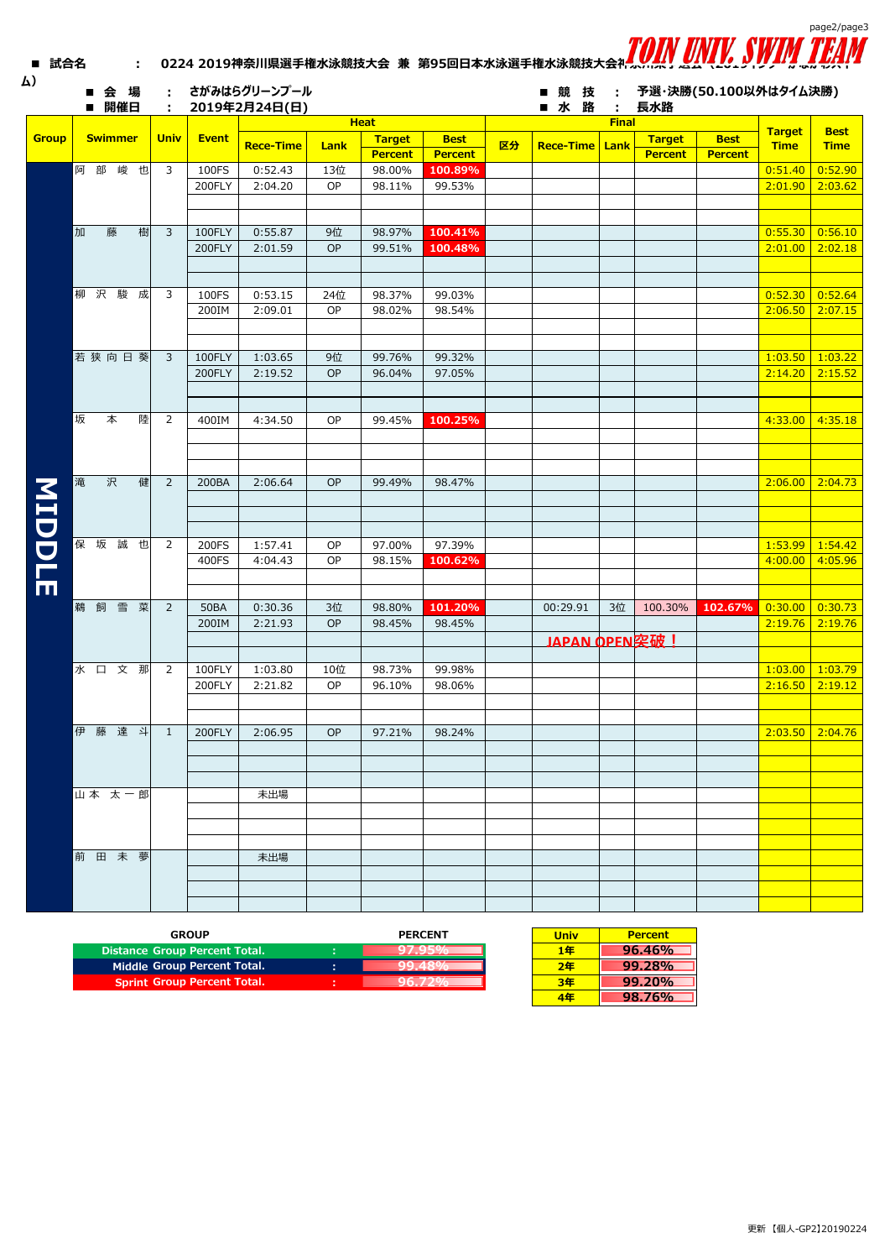| 試合名           |   |     |                | ÷.     |                |              | 0224 2019神奈川県選手権水泳競技大会 兼 第95回日本水泳選手権水泳競技大会补力 |           |                  |                   |    |                  |                   |                | Toin univ. Swim       |                              | page2/page3                            |
|---------------|---|-----|----------------|--------|----------------|--------------|----------------------------------------------|-----------|------------------|-------------------|----|------------------|-------------------|----------------|-----------------------|------------------------------|----------------------------------------|
| ム)            |   |     | 会場<br>開催日      |        | ÷.             |              | さがみはらグリーンプール<br>2019年2月24日(日)                |           |                  |                   |    | ■競技<br>■ 水 路     | ÷<br>$\mathbf{L}$ | 長水路            | 予選・決勝(50.100以外はタイム決勝) |                              |                                        |
|               |   |     |                |        |                |              |                                              |           | <b>Heat</b>      |                   |    |                  | <b>Final</b>      |                |                       |                              |                                        |
| <b>Group</b>  |   |     | <b>Swimmer</b> |        | <b>Univ</b>    | <b>Event</b> | <b>Rece-Time</b>                             | Lank      | <b>Target</b>    | <b>Best</b>       | 区分 | <b>Rece-Time</b> |                   | <b>Target</b>  | <b>Best</b>           | <b>Target</b><br><b>Time</b> | <b>Best</b><br><b>Time</b>             |
|               |   |     |                |        |                |              |                                              |           | <b>Percent</b>   | <b>Percent</b>    |    |                  | Lank              | <b>Percent</b> | <b>Percent</b>        |                              |                                        |
|               |   | 阿部  |                | 峻也     | 3              | 100FS        | 0:52.43                                      | 13位       | 98.00%           | 100.89%           |    |                  |                   |                |                       | 0:51.40                      | 0:52.90                                |
|               |   |     |                |        |                | 200FLY       | 2:04.20                                      | OP        | 98.11%           | 99.53%            |    |                  |                   |                |                       |                              | $2:01.90$ 2:03.62                      |
|               |   |     |                |        |                |              |                                              |           |                  |                   |    |                  |                   |                |                       |                              |                                        |
|               |   |     |                |        |                |              |                                              |           |                  |                   |    |                  |                   |                |                       |                              |                                        |
|               | 加 |     | 藤              | 樹      | 3              | 100FLY       | 0:55.87                                      | 9位        | 98.97%           | 100.41%           |    |                  |                   |                |                       |                              | 0.55.30   0.56.10                      |
|               |   |     |                |        |                | 200FLY       | 2:01.59                                      | OP        | 99.51%           | 100.48%           |    |                  |                   |                |                       |                              | $2:01.00$ 2:02.18                      |
|               |   |     |                |        |                |              |                                              |           |                  |                   |    |                  |                   |                |                       |                              |                                        |
|               |   | 柳 沢 |                | 駿成     | 3              | 100FS        | 0:53.15                                      | 24位       | 98.37%           | 99.03%            |    |                  |                   |                |                       | 0.52.30   0.52.64            |                                        |
|               |   |     |                |        |                | 200IM        | 2:09.01                                      | OP        | 98.02%           | 98.54%            |    |                  |                   |                |                       |                              | $2:06.50$ 2:07.15                      |
|               |   |     |                |        |                |              |                                              |           |                  |                   |    |                  |                   |                |                       |                              |                                        |
|               |   |     |                |        |                |              |                                              |           |                  |                   |    |                  |                   |                |                       |                              |                                        |
|               |   |     |                | 若狭向日葵  | 3              | 100FLY       | 1:03.65                                      | 9位        | 99.76%           | 99.32%            |    |                  |                   |                |                       | $1:03.50$ 1:03.22            |                                        |
|               |   |     |                |        |                | 200FLY       | 2:19.52                                      | OP        | 96.04%           | 97.05%            |    |                  |                   |                |                       |                              | $2:14.20$ 2:15.52                      |
|               |   |     |                |        |                |              |                                              |           |                  |                   |    |                  |                   |                |                       |                              |                                        |
|               |   |     |                |        |                |              |                                              |           |                  |                   |    |                  |                   |                |                       |                              |                                        |
|               | 坂 |     | 本              | 陸      | $\overline{2}$ | 400IM        | 4:34.50                                      | OP        | 99.45%           | 100.25%           |    |                  |                   |                |                       |                              | $4:33.00$ 4:35.18                      |
|               |   |     |                |        |                |              |                                              |           |                  |                   |    |                  |                   |                |                       |                              |                                        |
|               |   |     |                |        |                |              |                                              |           |                  |                   |    |                  |                   |                |                       |                              |                                        |
|               | 滝 |     | 沢              | 健      | $\overline{2}$ | 200BA        | 2:06.64                                      | <b>OP</b> | 99.49%           | 98.47%            |    |                  |                   |                |                       |                              | $2:06.00$ 2:04.73                      |
|               |   |     |                |        |                |              |                                              |           |                  |                   |    |                  |                   |                |                       |                              |                                        |
|               |   |     |                |        |                |              |                                              |           |                  |                   |    |                  |                   |                |                       |                              |                                        |
| <b>MIDDLE</b> |   |     |                |        |                |              |                                              |           |                  |                   |    |                  |                   |                |                       |                              |                                        |
|               |   | 保 坂 |                | 誠也     | 2              | 200FS        | 1:57.41                                      | OP        | 97.00%           | 97.39%            |    |                  |                   |                |                       | $1:53.99$ 1:54.42            |                                        |
|               |   |     |                |        |                | 400FS        | 4:04.43                                      | OP        | 98.15%           | 100.62%           |    |                  |                   |                |                       |                              | $4:00.00$ 4:05.96                      |
|               |   |     |                |        |                |              |                                              |           |                  |                   |    |                  |                   |                |                       |                              |                                        |
|               |   |     |                |        |                |              |                                              |           |                  |                   |    |                  |                   |                |                       |                              |                                        |
|               |   | 鵜 飼 |                | 雪菜     | $\overline{2}$ | <b>50BA</b>  | 0:30.36<br>2:21.93                           | 3位<br>OP  | 98.80%<br>98.45% | 101.20%<br>98.45% |    | 00:29.91         | 3位                | 100.30%        | 102.67%               |                              | $0:30.00$ 0:30.73<br>$2:19.76$ 2:19.76 |
|               |   |     |                |        |                | 200IM        |                                              |           |                  |                   |    | JAPAN OPEN突破!    |                   |                |                       |                              |                                        |
|               |   |     |                |        |                |              |                                              |           |                  |                   |    |                  |                   |                |                       |                              |                                        |
|               |   |     |                | 水口文那   | 2              | 100FLY       | 1:03.80                                      | 10位       | 98.73%           | 99.98%            |    |                  |                   |                |                       |                              | $1:03.00$ 1:03.79                      |
|               |   |     |                |        |                | 200FLY       | 2:21.82                                      | OP        | 96.10%           | 98.06%            |    |                  |                   |                |                       | $2:16.50$ 2:19.12            |                                        |
|               |   |     |                |        |                |              |                                              |           |                  |                   |    |                  |                   |                |                       |                              |                                        |
|               |   |     |                |        |                |              |                                              |           |                  |                   |    |                  |                   |                |                       |                              |                                        |
|               |   |     |                | 伊藤達斗   | 1              | 200FLY       | 2:06.95                                      | <b>OP</b> | 97.21%           | 98.24%            |    |                  |                   |                |                       |                              | $2:03.50$ 2:04.76                      |
|               |   |     |                |        |                |              |                                              |           |                  |                   |    |                  |                   |                |                       |                              |                                        |
|               |   |     |                |        |                |              |                                              |           |                  |                   |    |                  |                   |                |                       |                              |                                        |
|               |   |     |                | 山本 太一郎 |                |              | 未出場                                          |           |                  |                   |    |                  |                   |                |                       |                              |                                        |
|               |   |     |                |        |                |              |                                              |           |                  |                   |    |                  |                   |                |                       |                              |                                        |
|               |   |     |                |        |                |              |                                              |           |                  |                   |    |                  |                   |                |                       |                              |                                        |
|               |   |     |                |        |                |              |                                              |           |                  |                   |    |                  |                   |                |                       |                              |                                        |
|               |   |     |                | 前田未夢   |                |              | 未出場                                          |           |                  |                   |    |                  |                   |                |                       |                              |                                        |
|               |   |     |                |        |                |              |                                              |           |                  |                   |    |                  |                   |                |                       |                              |                                        |
|               |   |     |                |        |                |              |                                              |           |                  |                   |    |                  |                   |                |                       |                              |                                        |
|               |   |     |                |        |                |              |                                              |           |                  |                   |    |                  |                   |                |                       |                              |                                        |

| <b>GROUP</b>                       | <b>PERCENT</b> | Univ | <b>Percent</b> |
|------------------------------------|----------------|------|----------------|
| Distance Group Percent Total.      |                | 1年   | 96.46%         |
| Middle Group Percent Total.        |                | 2年   | 99.28%         |
| <b>Sprint Group Percent Total.</b> |                | 3年   | 99.20%         |
|                                    |                | - -  |                |

| Univ | <b>Percent</b> |
|------|----------------|
| 1年   | $96.46\%$      |
| 2年   | 99.28%         |
| 3年   | $99.20\%$      |
| 4年   | 98.76%         |